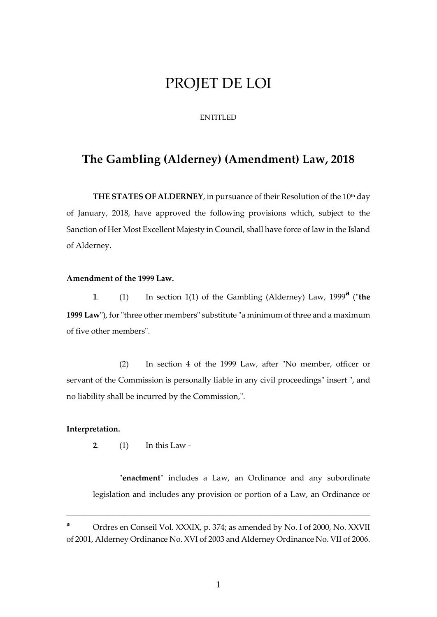# PROJET DE LOI

## ENTITLED

# **The Gambling (Alderney) (Amendment) Law, 2018**

**THE STATES OF ALDERNEY**, in pursuance of their Resolution of the 10<sup>th</sup> day of January, 2018, have approved the following provisions which, subject to the Sanction of Her Most Excellent Majesty in Council, shall have force of law in the Island of Alderney.

#### **Amendment of the 1999 Law.**

**<sup>1</sup>**. (1) In section 1(1) of the Gambling (Alderney) Law, 1999**<sup>a</sup>** ("**the 1999 Law**"), for "three other members" substitute "a minimum of three and a maximum of five other members".

(2) In section 4 of the 1999 Law, after "No member, officer or servant of the Commission is personally liable in any civil proceedings" insert ", and no liability shall be incurred by the Commission,".

#### **Interpretation.**

**2**. (1) In this Law -

"**enactment**" includes a Law, an Ordinance and any subordinate legislation and includes any provision or portion of a Law, an Ordinance or

\_\_\_\_\_\_\_\_\_\_\_\_\_\_\_\_\_\_\_\_\_\_\_\_\_\_\_\_\_\_\_\_\_\_\_\_\_\_\_\_\_\_\_\_\_\_\_\_\_\_\_\_\_\_\_\_\_\_\_\_\_\_\_\_\_\_\_\_\_

**<sup>a</sup>** Ordres en Conseil Vol. XXXIX, p. 374; as amended by No. I of 2000, No. XXVII of 2001, Alderney Ordinance No. XVI of 2003 and Alderney Ordinance No. VII of 2006.